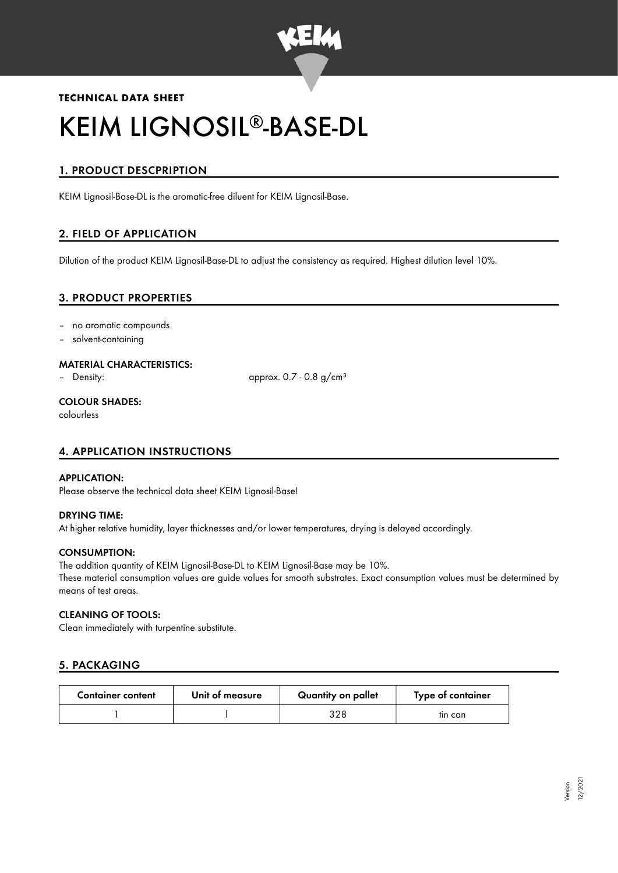

# **TECHNICAL DATA SHEET** KEIM LIGNOSIL®-BASE-DL

# 1. PRODUCT DESCPRIPTION

KEIM Lignosil-Base-DL is the aromatic-free diluent for KEIM Lignosil-Base.

# 2. FIELD OF APPLICATION

Dilution of the product KEIM Lignosil-Base-DL to adjust the consistency as required. Highest dilution level 10%.

# 3. PRODUCT PROPERTIES

- no aromatic compounds
- solvent-containing

#### MATERIAL CHARACTERISTICS:

– Density: approx. 0.7 - 0.8 g/cm<sup>3</sup>

## COLOUR SHADES:

colourless

# 4. APPLICATION INSTRUCTIONS

#### APPLICATION:

Please observe the technical data sheet KEIM Lignosil-Base!

## DRYING TIME:

At higher relative humidity, layer thicknesses and/or lower temperatures, drying is delayed accordingly.

#### CONSUMPTION:

The addition quantity of KEIM Lignosil-Base-DL to KEIM Lignosil-Base may be 10%. These material consumption values are guide values for smooth substrates. Exact consumption values must be determined by means of test areas.

## CLEANING OF TOOLS:

Clean immediately with turpentine substitute.

# 5. PACKAGING

| <b>Container content</b> | Unit of measure | Quantity on pallet | Type of container |
|--------------------------|-----------------|--------------------|-------------------|
|                          |                 | 328                | tin can           |